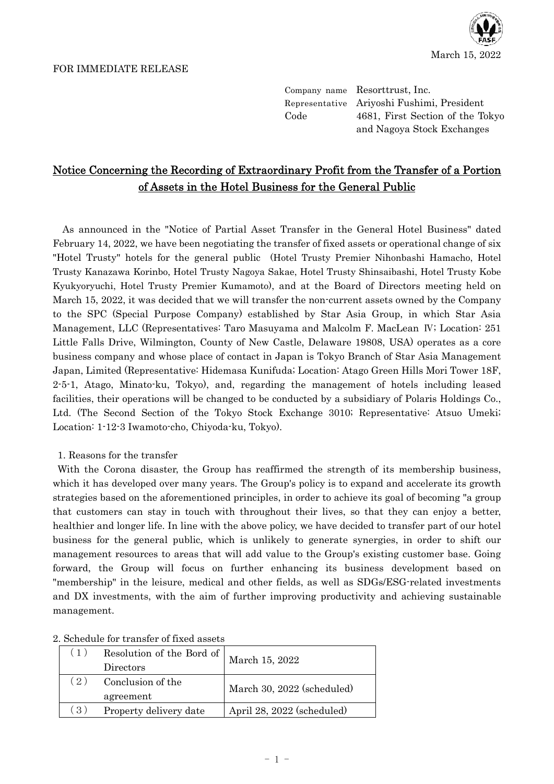



Company name Resorttrust, Inc. Representative Ariyoshi Fushimi, President Code 4681, First Section of the Tokyo and Nagoya Stock Exchanges

## Notice Concerning the Recording of Extraordinary Profit from the Transfer of a Portion of Assets in the Hotel Business for the General Public

As announced in the "Notice of Partial Asset Transfer in the General Hotel Business" dated February 14, 2022, we have been negotiating the transfer of fixed assets or operational change of six "Hotel Trusty" hotels for the general public (Hotel Trusty Premier Nihonbashi Hamacho, Hotel Trusty Kanazawa Korinbo, Hotel Trusty Nagoya Sakae, Hotel Trusty Shinsaibashi, Hotel Trusty Kobe Kyukyoryuchi, Hotel Trusty Premier Kumamoto), and at the Board of Directors meeting held on March 15, 2022, it was decided that we will transfer the non-current assets owned by the Company to the SPC (Special Purpose Company) established by Star Asia Group, in which Star Asia Management, LLC (Representatives: Taro Masuyama and Malcolm F. MacLean Ⅳ; Location: 251 Little Falls Drive, Wilmington, County of New Castle, Delaware 19808, USA) operates as a core business company and whose place of contact in Japan is Tokyo Branch of Star Asia Management Japan, Limited (Representative: Hidemasa Kunifuda; Location: Atago Green Hills Mori Tower 18F, 2-5-1, Atago, Minato-ku, Tokyo), and, regarding the management of hotels including leased facilities, their operations will be changed to be conducted by a subsidiary of Polaris Holdings Co., Ltd. (The Second Section of the Tokyo Stock Exchange 3010; Representative: Atsuo Umeki; Location: 1-12-3 Iwamoto-cho, Chiyoda-ku, Tokyo).

1. Reasons for the transfer

With the Corona disaster, the Group has reaffirmed the strength of its membership business, which it has developed over many years. The Group's policy is to expand and accelerate its growth strategies based on the aforementioned principles, in order to achieve its goal of becoming "a group that customers can stay in touch with throughout their lives, so that they can enjoy a better, healthier and longer life. In line with the above policy, we have decided to transfer part of our hotel business for the general public, which is unlikely to generate synergies, in order to shift our management resources to areas that will add value to the Group's existing customer base. Going forward, the Group will focus on further enhancing its business development based on "membership" in the leisure, medical and other fields, as well as SDGs/ESG-related investments and DX investments, with the aim of further improving productivity and achieving sustainable management.

| (1) | Resolution of the Bord of<br>Directors | March 15, 2022             |  |  |  |
|-----|----------------------------------------|----------------------------|--|--|--|
| (2) | Conclusion of the                      | March 30, 2022 (scheduled) |  |  |  |
|     | agreement                              |                            |  |  |  |
| (3) | Property delivery date                 | April 28, 2022 (scheduled) |  |  |  |

2. Schedule for transfer of fixed assets